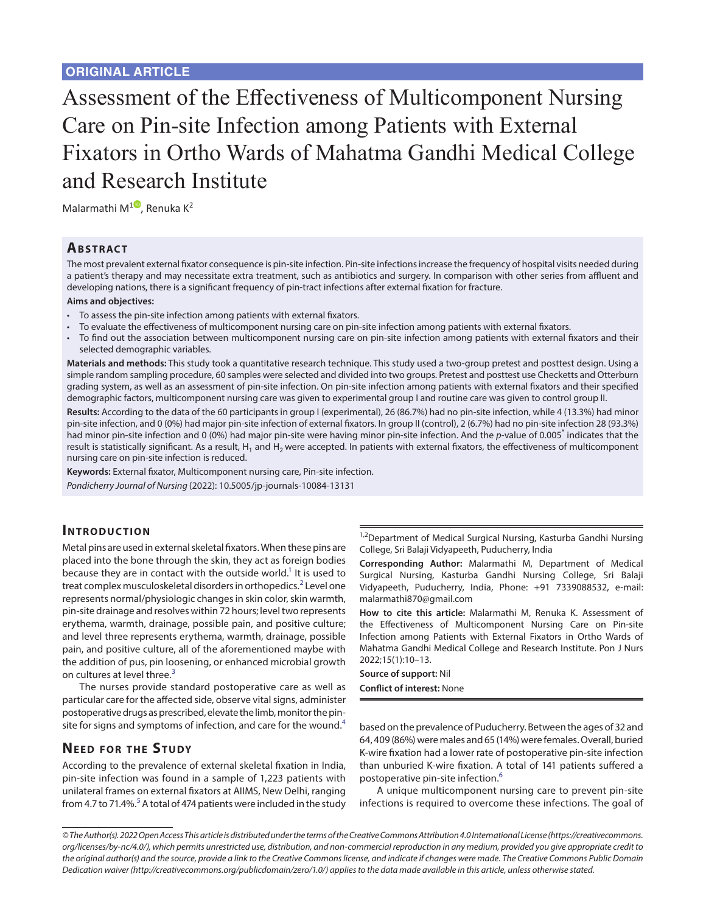# Assessment of the Effectiveness of Multicomponent Nursing Care on Pin-site Infection among Patients with External Fixators in Ortho Wards of Mahatma Gandhi Medical College and Research Institute

Malarmathi M<sup>1</sup>[,](https://orcid.org/0000-0003-2224-1166) Renuka K<sup>2</sup>

#### **ABSTRACT**

The most prevalent external fixator consequence is pin-site infection. Pin-site infections increase the frequency of hospital visits needed during a patient's therapy and may necessitate extra treatment, such as antibiotics and surgery. In comparison with other series from affluent and developing nations, there is a significant frequency of pin-tract infections after external fixation for fracture.

#### **Aims and objectives:**

- To assess the pin-site infection among patients with external fixators.
- To evaluate the effectiveness of multicomponent nursing care on pin-site infection among patients with external fixators.
- To find out the association between multicomponent nursing care on pin-site infection among patients with external fixators and their selected demographic variables.

**Materials and methods:** This study took a quantitative research technique. This study used a two-group pretest and posttest design. Using a simple random sampling procedure, 60 samples were selected and divided into two groups. Pretest and posttest use Checketts and Otterburn grading system, as well as an assessment of pin-site infection. On pin-site infection among patients with external fixators and their specified demographic factors, multicomponent nursing care was given to experimental group I and routine care was given to control group II.

**Results:** According to the data of the 60 participants in group I (experimental), 26 (86.7%) had no pin-site infection, while 4 (13.3%) had minor pin-site infection, and 0 (0%) had major pin-site infection of external fixators. In group II (control), 2 (6.7%) had no pin-site infection 28 (93.3%) had minor pin-site infection and 0 (0%) had major pin-site were having minor pin-site infection. And the *p*-value of 0.005<sup>\*</sup> indicates that the result is statistically significant. As a result,  $H_1$  and  $H_2$  were accepted. In patients with external fixators, the effectiveness of multicomponent nursing care on pin-site infection is reduced.

**Keywords:** External fixator, Multicomponent nursing care, Pin-site infection. *Pondicherry Journal of Nursing* (2022): 10.5005/jp-journals-10084-13131

## **INTRODUCTION**

Metal pins are used in external skeletal fixators. When these pins are placed into the bone through the skin, they act as foreign bodies because they are in contact with the outside world.<sup>1</sup> It is used to treat complex musculoskeletal disorders in orthopedics.<sup>[2](#page-3-1)</sup> Level one represents normal/physiologic changes in skin color, skin warmth, pin-site drainage and resolves within 72 hours; level two represents erythema, warmth, drainage, possible pain, and positive culture; and level three represents erythema, warmth, drainage, possible pain, and positive culture, all of the aforementioned maybe with the addition of pus, pin loosening, or enhanced microbial growth on cultures at level three.<sup>[3](#page-3-2)</sup>

The nurses provide standard postoperative care as well as particular care for the affected side, observe vital signs, administer postoperative drugs as prescribed, elevate the limb, monitor the pin-site for signs and symptoms of infection, and care for the wound.<sup>[4](#page-3-3)</sup>

## **NEED FOR THE STUDY**

According to the prevalence of external skeletal fixation in India, pin-site infection was found in a sample of 1,223 patients with unilateral frames on external fixators at AIIMS, New Delhi, ranging from 4.7 to 71.4%. $5$  A total of 474 patients were included in the study

<sup>1,2</sup>Department of Medical Surgical Nursing, Kasturba Gandhi Nursing College, Sri Balaji Vidyapeeth, Puducherry, India

**Corresponding Author:** Malarmathi M, Department of Medical Surgical Nursing, Kasturba Gandhi Nursing College, Sri Balaji Vidyapeeth, Puducherry, India, Phone: +91 7339088532, e-mail: malarmathi870@gmail.com

**How to cite this article:** Malarmathi M, Renuka K. Assessment of the Effectiveness of Multicomponent Nursing Care on Pin-site Infection among Patients with External Fixators in Ortho Wards of Mahatma Gandhi Medical College and Research Institute. Pon J Nurs 2022;15(1):10–13.

**Source of support:** Nil **Conflict of interest:** None

based on the prevalence of Puducherry. Between the ages of 32 and 64, 409 (86%) were males and 65 (14%) were females. Overall, buried K-wire fixation had a lower rate of postoperative pin-site infection than unburied K-wire fixation. A total of 141 patients suffered a postoperative pin-site infection.<sup>[6](#page-3-5)</sup>

A unique multicomponent nursing care to prevent pin-site infections is required to overcome these infections. The goal of

*<sup>©</sup> The Author(s). 2022 Open Access This article is distributed under the terms of the Creative Commons Attribution 4.0 International License (https://creativecommons. org/licenses/by-nc/4.0/), which permits unrestricted use, distribution, and non-commercial reproduction in any medium, provided you give appropriate credit to the original author(s) and the source, provide a link to the Creative Commons license, and indicate if changes were made. The Creative Commons Public Domain Dedication waiver (http://creativecommons.org/publicdomain/zero/1.0/) applies to the data made available in this article, unless otherwise stated.*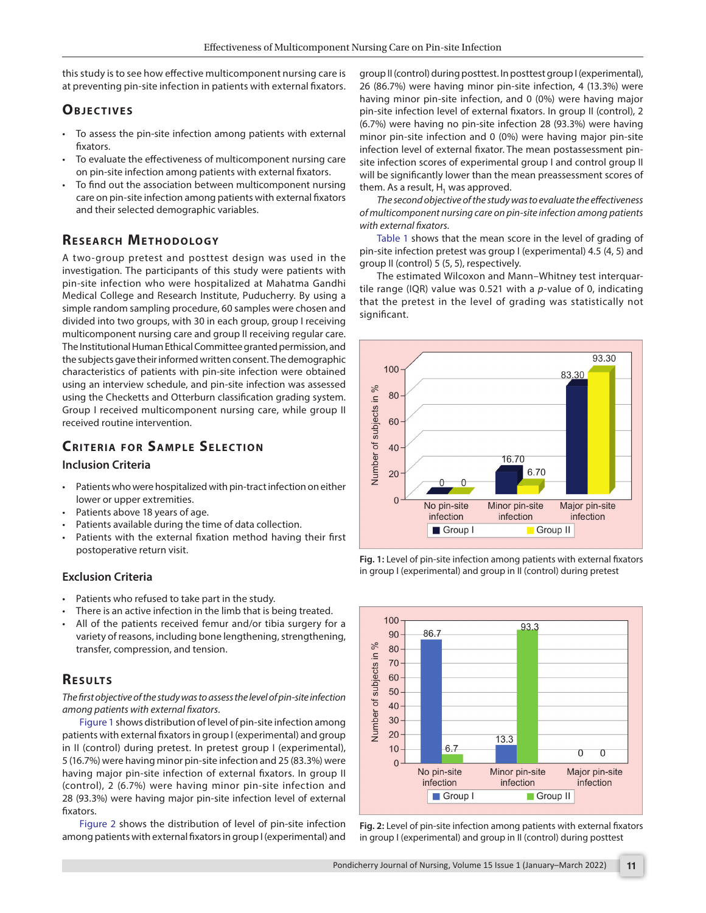this study is to see how effective multicomponent nursing care is at preventing pin-site infection in patients with external fixators.

# **OBJECTIVES**

- To assess the pin-site infection among patients with external fixators.
- To evaluate the effectiveness of multicomponent nursing care on pin-site infection among patients with external fixators.
- To find out the association between multicomponent nursing care on pin-site infection among patients with external fixators and their selected demographic variables.

# **RESEARCH METHODOLOGY**

A two-group pretest and posttest design was used in the investigation. The participants of this study were patients with pin-site infection who were hospitalized at Mahatma Gandhi Medical College and Research Institute, Puducherry. By using a simple random sampling procedure, 60 samples were chosen and divided into two groups, with 30 in each group, group I receiving multicomponent nursing care and group II receiving regular care. The Institutional Human Ethical Committee granted permission, and the subjects gave their informed written consent. The demographic characteristics of patients with pin-site infection were obtained using an interview schedule, and pin-site infection was assessed using the Checketts and Otterburn classification grading system. Group I received multicomponent nursing care, while group II received routine intervention.

# **CRITERIA FOR SAMPLE SELECTION**

#### **Inclusion Criteria**

- Patients who were hospitalized with pin-tract infection on either lower or upper extremities.
- Patients above 18 years of age.
- Patients available during the time of data collection.
- Patients with the external fixation method having their first postoperative return visit.

## **Exclusion Criteria**

- Patients who refused to take part in the study.
- There is an active infection in the limb that is being treated.
- All of the patients received femur and/or tibia surgery for a variety of reasons, including bone lengthening, strengthening, transfer, compression, and tension.

# **RESULTS**

*The first objective of the study was to assess the level of pin-site infection among patients with external fixators*.

[Figure 1](#page-1-0) shows distribution of level of pin-site infection among patients with external fixators in group I (experimental) and group in II (control) during pretest. In pretest group I (experimental), 5 (16.7%) were having minor pin-site infection and 25 (83.3%) were having major pin-site infection of external fixators. In group II (control), 2 (6.7%) were having minor pin-site infection and 28 (93.3%) were having major pin-site infection level of external fixators.

[Figure 2](#page-1-1) shows the distribution of level of pin-site infection among patients with external fixators in group I (experimental) and

group II (control) during posttest. In posttest group I (experimental), 26 (86.7%) were having minor pin-site infection, 4 (13.3%) were having minor pin-site infection, and 0 (0%) were having major pin-site infection level of external fixators. In group II (control), 2 (6.7%) were having no pin-site infection 28 (93.3%) were having minor pin-site infection and 0 (0%) were having major pin-site infection level of external fixator. The mean postassessment pinsite infection scores of experimental group I and control group II will be significantly lower than the mean preassessment scores of them. As a result,  $H_1$  was approved.

*The second objective of the study was to evaluate the effectiveness of multicomponent nursing care on pin-site infection among patients with external fixators.*

[Table 1](#page-2-0) shows that the mean score in the level of grading of pin-site infection pretest was group I (experimental) 4.5 (4, 5) and group II (control) 5 (5, 5), respectively.

The estimated Wilcoxon and Mann–Whitney test interquartile range (IQR) value was 0.521 with a *p*-value of 0, indicating that the pretest in the level of grading was statistically not significant.



<span id="page-1-0"></span>



<span id="page-1-1"></span>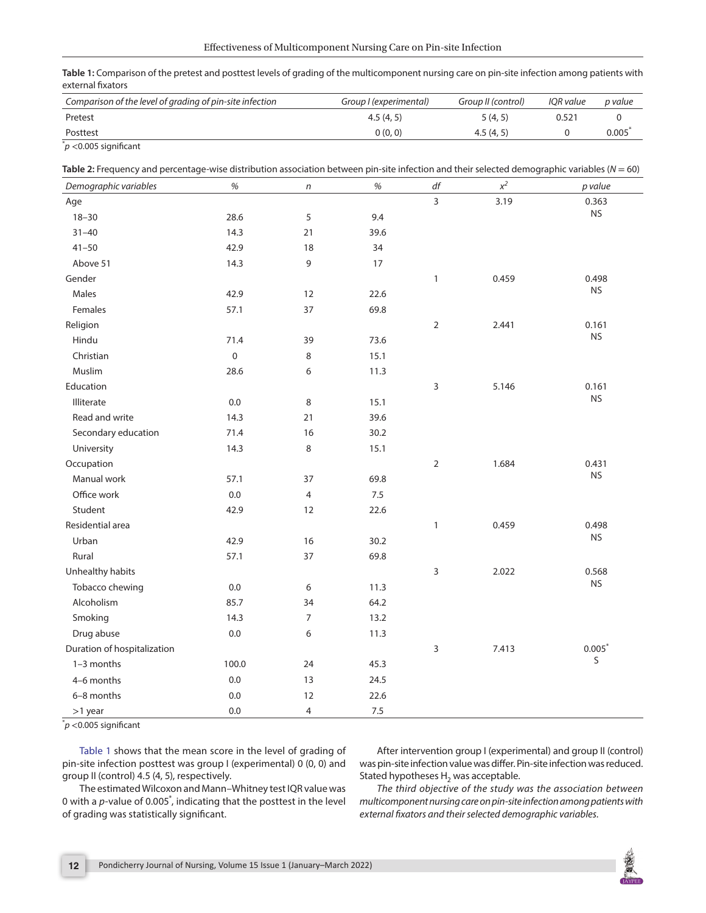<span id="page-2-0"></span>**Table 1:** Comparison of the pretest and posttest levels of grading of the multicomponent nursing care on pin-site infection among patients with external fixators

| Comparison of the level of grading of pin-site infection | Group I (experimental) | Group II (control) | IOR value | p value |
|----------------------------------------------------------|------------------------|--------------------|-----------|---------|
| Pretest                                                  | 4.5(4, 5)              | 5(4, 5)            | 0.521     |         |
| Posttest                                                 | 0(0, 0)                | 4.5(4.5)           |           | 0.005   |
| $*$ $\sim$ $\sim$ $\sim$ $\sim$ $\sim$                   |                        |                    |           |         |

\* *p* <0.005 significant

<span id="page-2-1"></span>

|  |  | Table 2: Frequency and percentage-wise distribution association between pin-site infection and their selected demographic variables ( $N = 60$ ) |
|--|--|--------------------------------------------------------------------------------------------------------------------------------------------------|
|--|--|--------------------------------------------------------------------------------------------------------------------------------------------------|

| Demographic variables       | $\%$        | n              | $\%$ | $d\boldsymbol{f}$ | $x^2$ | p value              |
|-----------------------------|-------------|----------------|------|-------------------|-------|----------------------|
| Age                         |             |                |      | $\overline{3}$    | 3.19  | 0.363                |
| $18 - 30$                   | 28.6        | 5              | 9.4  |                   |       | $\mathsf{NS}\xspace$ |
| $31 - 40$                   | 14.3        | 21             | 39.6 |                   |       |                      |
| $41 - 50$                   | 42.9        | 18             | 34   |                   |       |                      |
| Above 51                    | 14.3        | 9              | 17   |                   |       |                      |
| Gender                      |             |                |      | $\mathbf{1}$      | 0.459 | 0.498                |
| Males                       | 42.9        | 12             | 22.6 |                   |       | <b>NS</b>            |
| Females                     | 57.1        | 37             | 69.8 |                   |       |                      |
| Religion                    |             |                |      | $\overline{2}$    | 2.441 | 0.161                |
| Hindu                       | 71.4        | 39             | 73.6 |                   |       | <b>NS</b>            |
| Christian                   | $\mathbf 0$ | 8              | 15.1 |                   |       |                      |
| Muslim                      | 28.6        | 6              | 11.3 |                   |       |                      |
| Education                   |             |                |      | 3                 | 5.146 | 0.161                |
| Illiterate                  | 0.0         | 8              | 15.1 |                   |       | <b>NS</b>            |
| Read and write              | 14.3        | 21             | 39.6 |                   |       |                      |
| Secondary education         | 71.4        | 16             | 30.2 |                   |       |                      |
| University                  | 14.3        | 8              | 15.1 |                   |       |                      |
| Occupation                  |             |                |      | $\overline{2}$    | 1.684 | 0.431                |
| Manual work                 | 57.1        | 37             | 69.8 |                   |       | <b>NS</b>            |
| Office work                 | 0.0         | $\overline{4}$ | 7.5  |                   |       |                      |
| Student                     | 42.9        | 12             | 22.6 |                   |       |                      |
| Residential area            |             |                |      | $\mathbf{1}$      | 0.459 | 0.498                |
| Urban                       | 42.9        | 16             | 30.2 |                   |       | <b>NS</b>            |
| Rural                       | 57.1        | 37             | 69.8 |                   |       |                      |
| Unhealthy habits            |             |                |      | 3                 | 2.022 | 0.568                |
| Tobacco chewing             | 0.0         | 6              | 11.3 |                   |       | <b>NS</b>            |
| Alcoholism                  | 85.7        | 34             | 64.2 |                   |       |                      |
| Smoking                     | 14.3        | $\overline{7}$ | 13.2 |                   |       |                      |
| Drug abuse                  | 0.0         | 6              | 11.3 |                   |       |                      |
| Duration of hospitalization |             |                |      | 3                 | 7.413 | $0.005*$             |
| $1-3$ months                | 100.0       | 24             | 45.3 |                   |       | S                    |
| 4-6 months                  | 0.0         | 13             | 24.5 |                   |       |                      |
| 6-8 months                  | 0.0         | 12             | 22.6 |                   |       |                      |
| $>1$ year                   | 0.0         | 4              | 7.5  |                   |       |                      |

\* *p* <0.005 significant

[Table 1](#page-2-0) shows that the mean score in the level of grading of pin-site infection posttest was group I (experimental) 0 (0, 0) and group II (control) 4.5 (4, 5), respectively.

After intervention group I (experimental) and group II (control) was pin-site infection value was differ. Pin-site infection was reduced. Stated hypotheses  $H_2$  was acceptable.

The estimated Wilcoxon and Mann–Whitney test IQR value was 0 with a *p*-value of 0.005<sup>\*</sup>, indicating that the posttest in the level of grading was statistically significant.

*The third objective of the study was the association between multicomponent nursing care on pin-site infection among patients with external fixators and their selected demographic variables.*